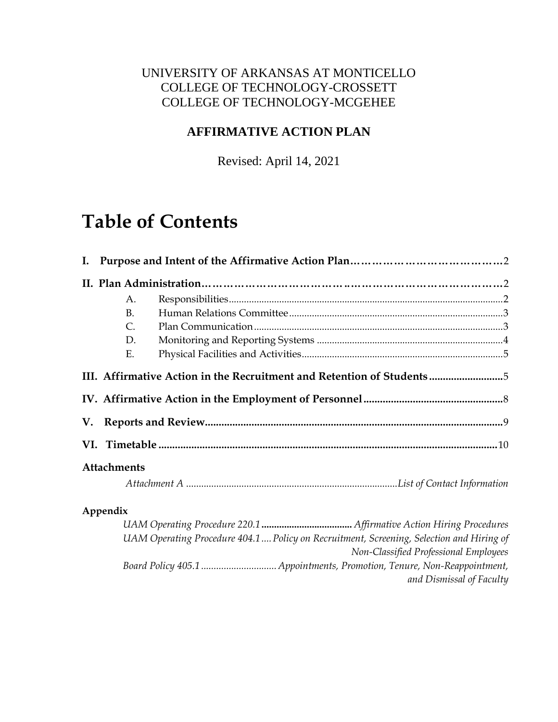# UNIVERSITY OF ARKANSAS AT MONTICELLO COLLEGE OF TECHNOLOGY-CROSSETT COLLEGE OF TECHNOLOGY-MCGEHEE

# **AFFIRMATIVE ACTION PLAN**

Revised: April 14, 2021

# **Table of Contents**

|                                                                       | A.                                                                                       |  |  |  |  |  |
|-----------------------------------------------------------------------|------------------------------------------------------------------------------------------|--|--|--|--|--|
|                                                                       | B <sub>1</sub>                                                                           |  |  |  |  |  |
|                                                                       | C.                                                                                       |  |  |  |  |  |
|                                                                       | D.                                                                                       |  |  |  |  |  |
|                                                                       | Ε.                                                                                       |  |  |  |  |  |
| III. Affirmative Action in the Recruitment and Retention of Students5 |                                                                                          |  |  |  |  |  |
|                                                                       |                                                                                          |  |  |  |  |  |
|                                                                       |                                                                                          |  |  |  |  |  |
|                                                                       |                                                                                          |  |  |  |  |  |
| <b>Attachments</b>                                                    |                                                                                          |  |  |  |  |  |
|                                                                       |                                                                                          |  |  |  |  |  |
|                                                                       | Appendix                                                                                 |  |  |  |  |  |
|                                                                       |                                                                                          |  |  |  |  |  |
|                                                                       | UAM Operating Procedure 404.1  Policy on Recruitment, Screening, Selection and Hiring of |  |  |  |  |  |

*Non-Classified Professional Employees Board Policy 405.1 .............................. Appointments, Promotion, Tenure, Non-Reappointment, and Dismissal of Faculty*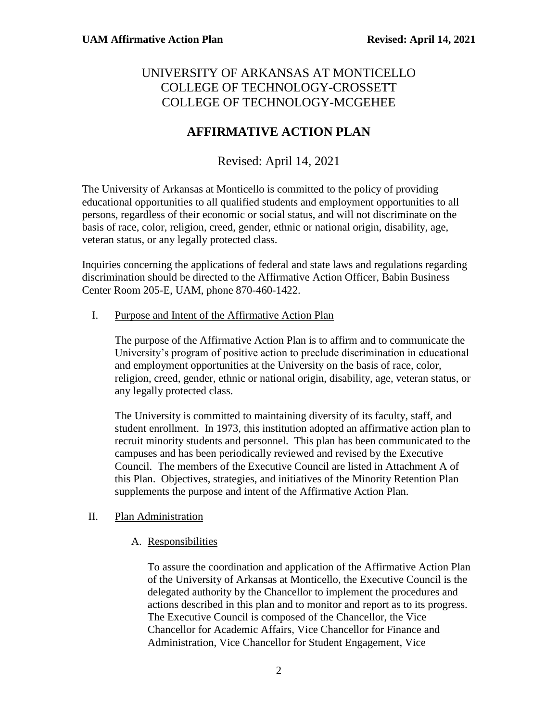## UNIVERSITY OF ARKANSAS AT MONTICELLO COLLEGE OF TECHNOLOGY-CROSSETT COLLEGE OF TECHNOLOGY-MCGEHEE

# **AFFIRMATIVE ACTION PLAN**

## Revised: April 14, 2021

The University of Arkansas at Monticello is committed to the policy of providing educational opportunities to all qualified students and employment opportunities to all persons, regardless of their economic or social status, and will not discriminate on the basis of race, color, religion, creed, gender, ethnic or national origin, disability, age, veteran status, or any legally protected class.

Inquiries concerning the applications of federal and state laws and regulations regarding discrimination should be directed to the Affirmative Action Officer, Babin Business Center Room 205-E, UAM, phone 870-460-1422.

I. Purpose and Intent of the Affirmative Action Plan

The purpose of the Affirmative Action Plan is to affirm and to communicate the University's program of positive action to preclude discrimination in educational and employment opportunities at the University on the basis of race, color, religion, creed, gender, ethnic or national origin, disability, age, veteran status, or any legally protected class.

The University is committed to maintaining diversity of its faculty, staff, and student enrollment. In 1973, this institution adopted an affirmative action plan to recruit minority students and personnel. This plan has been communicated to the campuses and has been periodically reviewed and revised by the Executive Council. The members of the Executive Council are listed in Attachment A of this Plan. Objectives, strategies, and initiatives of the Minority Retention Plan supplements the purpose and intent of the Affirmative Action Plan.

#### II. Plan Administration

#### A. Responsibilities

To assure the coordination and application of the Affirmative Action Plan of the University of Arkansas at Monticello, the Executive Council is the delegated authority by the Chancellor to implement the procedures and actions described in this plan and to monitor and report as to its progress. The Executive Council is composed of the Chancellor, the Vice Chancellor for Academic Affairs, Vice Chancellor for Finance and Administration, Vice Chancellor for Student Engagement, Vice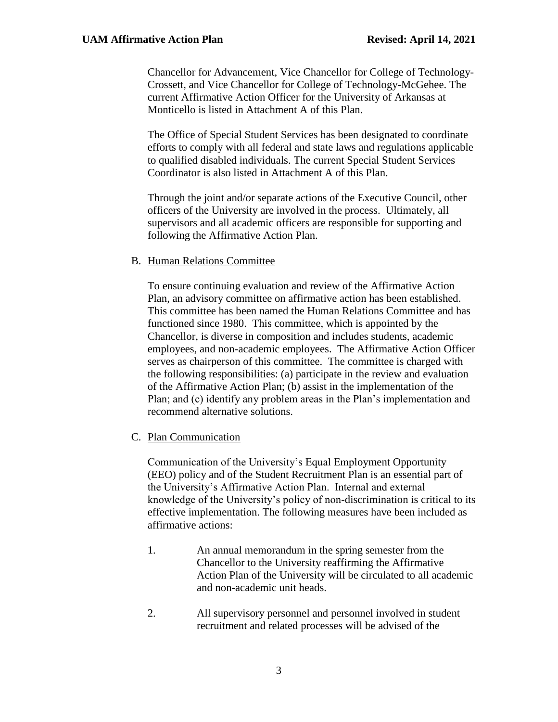Chancellor for Advancement, Vice Chancellor for College of Technology-Crossett, and Vice Chancellor for College of Technology-McGehee. The current Affirmative Action Officer for the University of Arkansas at Monticello is listed in Attachment A of this Plan.

The Office of Special Student Services has been designated to coordinate efforts to comply with all federal and state laws and regulations applicable to qualified disabled individuals. The current Special Student Services Coordinator is also listed in Attachment A of this Plan.

Through the joint and/or separate actions of the Executive Council, other officers of the University are involved in the process. Ultimately, all supervisors and all academic officers are responsible for supporting and following the Affirmative Action Plan.

#### B. Human Relations Committee

To ensure continuing evaluation and review of the Affirmative Action Plan, an advisory committee on affirmative action has been established. This committee has been named the Human Relations Committee and has functioned since 1980. This committee, which is appointed by the Chancellor, is diverse in composition and includes students, academic employees, and non-academic employees. The Affirmative Action Officer serves as chairperson of this committee. The committee is charged with the following responsibilities: (a) participate in the review and evaluation of the Affirmative Action Plan; (b) assist in the implementation of the Plan; and (c) identify any problem areas in the Plan's implementation and recommend alternative solutions.

#### C. Plan Communication

Communication of the University's Equal Employment Opportunity (EEO) policy and of the Student Recruitment Plan is an essential part of the University's Affirmative Action Plan. Internal and external knowledge of the University's policy of non-discrimination is critical to its effective implementation. The following measures have been included as affirmative actions:

- 1. An annual memorandum in the spring semester from the Chancellor to the University reaffirming the Affirmative Action Plan of the University will be circulated to all academic and non-academic unit heads.
- 2. All supervisory personnel and personnel involved in student recruitment and related processes will be advised of the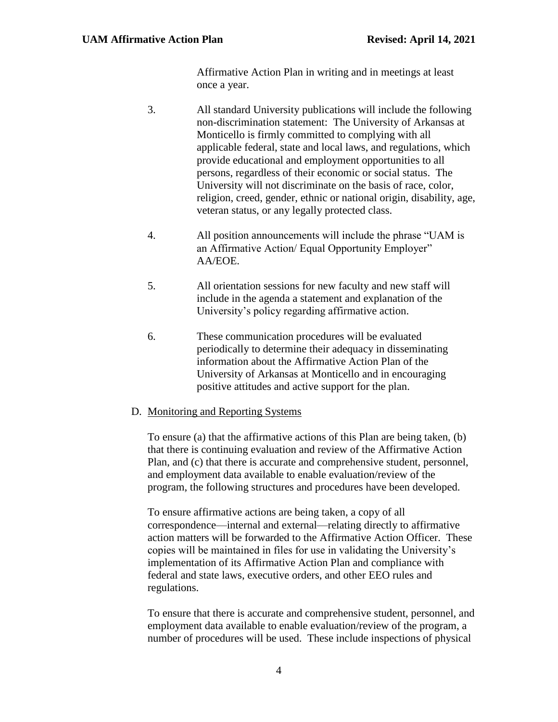Affirmative Action Plan in writing and in meetings at least once a year.

- 3. All standard University publications will include the following non-discrimination statement: The University of Arkansas at Monticello is firmly committed to complying with all applicable federal, state and local laws, and regulations, which provide educational and employment opportunities to all persons, regardless of their economic or social status. The University will not discriminate on the basis of race, color, religion, creed, gender, ethnic or national origin, disability, age, veteran status, or any legally protected class.
- 4. All position announcements will include the phrase "UAM is an Affirmative Action/ Equal Opportunity Employer" AA/EOE.
- 5. All orientation sessions for new faculty and new staff will include in the agenda a statement and explanation of the University's policy regarding affirmative action.
- 6. These communication procedures will be evaluated periodically to determine their adequacy in disseminating information about the Affirmative Action Plan of the University of Arkansas at Monticello and in encouraging positive attitudes and active support for the plan.

#### D. Monitoring and Reporting Systems

To ensure (a) that the affirmative actions of this Plan are being taken, (b) that there is continuing evaluation and review of the Affirmative Action Plan, and (c) that there is accurate and comprehensive student, personnel, and employment data available to enable evaluation/review of the program, the following structures and procedures have been developed.

To ensure affirmative actions are being taken, a copy of all correspondence—internal and external—relating directly to affirmative action matters will be forwarded to the Affirmative Action Officer. These copies will be maintained in files for use in validating the University's implementation of its Affirmative Action Plan and compliance with federal and state laws, executive orders, and other EEO rules and regulations.

To ensure that there is accurate and comprehensive student, personnel, and employment data available to enable evaluation/review of the program, a number of procedures will be used. These include inspections of physical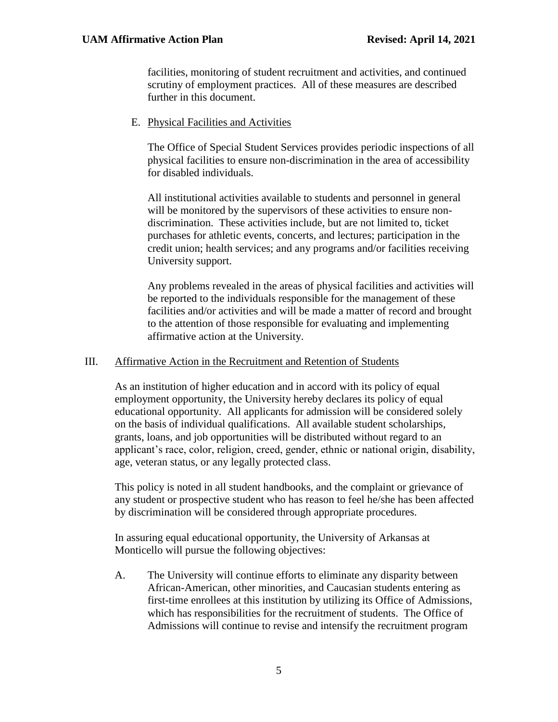facilities, monitoring of student recruitment and activities, and continued scrutiny of employment practices. All of these measures are described further in this document.

#### E. Physical Facilities and Activities

The Office of Special Student Services provides periodic inspections of all physical facilities to ensure non-discrimination in the area of accessibility for disabled individuals.

All institutional activities available to students and personnel in general will be monitored by the supervisors of these activities to ensure nondiscrimination. These activities include, but are not limited to, ticket purchases for athletic events, concerts, and lectures; participation in the credit union; health services; and any programs and/or facilities receiving University support.

Any problems revealed in the areas of physical facilities and activities will be reported to the individuals responsible for the management of these facilities and/or activities and will be made a matter of record and brought to the attention of those responsible for evaluating and implementing affirmative action at the University.

#### III. Affirmative Action in the Recruitment and Retention of Students

As an institution of higher education and in accord with its policy of equal employment opportunity, the University hereby declares its policy of equal educational opportunity. All applicants for admission will be considered solely on the basis of individual qualifications. All available student scholarships, grants, loans, and job opportunities will be distributed without regard to an applicant's race, color, religion, creed, gender, ethnic or national origin, disability, age, veteran status, or any legally protected class.

This policy is noted in all student handbooks, and the complaint or grievance of any student or prospective student who has reason to feel he/she has been affected by discrimination will be considered through appropriate procedures.

In assuring equal educational opportunity, the University of Arkansas at Monticello will pursue the following objectives:

A. The University will continue efforts to eliminate any disparity between African-American, other minorities, and Caucasian students entering as first-time enrollees at this institution by utilizing its Office of Admissions, which has responsibilities for the recruitment of students. The Office of Admissions will continue to revise and intensify the recruitment program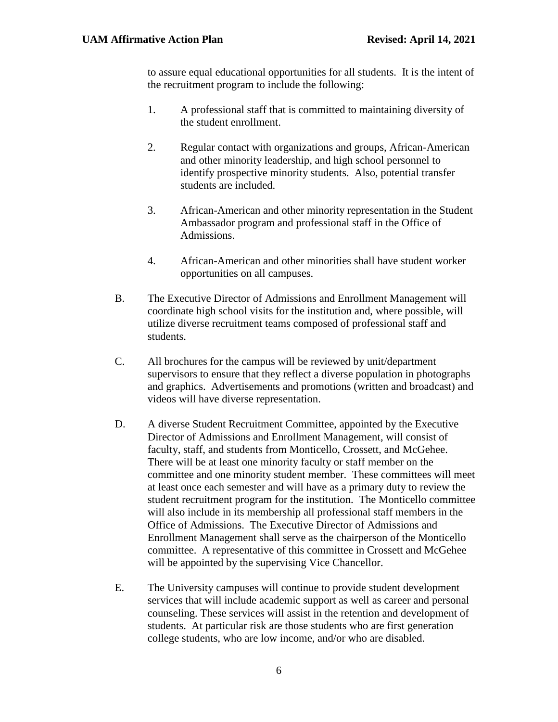to assure equal educational opportunities for all students. It is the intent of the recruitment program to include the following:

- 1. A professional staff that is committed to maintaining diversity of the student enrollment.
- 2. Regular contact with organizations and groups, African-American and other minority leadership, and high school personnel to identify prospective minority students. Also, potential transfer students are included.
- 3. African-American and other minority representation in the Student Ambassador program and professional staff in the Office of Admissions.
- 4. African-American and other minorities shall have student worker opportunities on all campuses.
- B. The Executive Director of Admissions and Enrollment Management will coordinate high school visits for the institution and, where possible, will utilize diverse recruitment teams composed of professional staff and students.
- C. All brochures for the campus will be reviewed by unit/department supervisors to ensure that they reflect a diverse population in photographs and graphics. Advertisements and promotions (written and broadcast) and videos will have diverse representation.
- D. A diverse Student Recruitment Committee, appointed by the Executive Director of Admissions and Enrollment Management, will consist of faculty, staff, and students from Monticello, Crossett, and McGehee. There will be at least one minority faculty or staff member on the committee and one minority student member. These committees will meet at least once each semester and will have as a primary duty to review the student recruitment program for the institution. The Monticello committee will also include in its membership all professional staff members in the Office of Admissions. The Executive Director of Admissions and Enrollment Management shall serve as the chairperson of the Monticello committee. A representative of this committee in Crossett and McGehee will be appointed by the supervising Vice Chancellor.
- E. The University campuses will continue to provide student development services that will include academic support as well as career and personal counseling. These services will assist in the retention and development of students. At particular risk are those students who are first generation college students, who are low income, and/or who are disabled.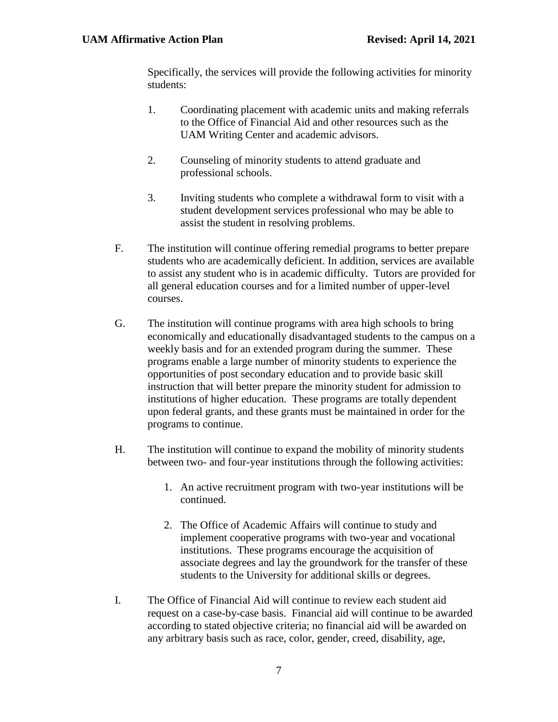Specifically, the services will provide the following activities for minority students:

- 1. Coordinating placement with academic units and making referrals to the Office of Financial Aid and other resources such as the UAM Writing Center and academic advisors.
- 2. Counseling of minority students to attend graduate and professional schools.
- 3. Inviting students who complete a withdrawal form to visit with a student development services professional who may be able to assist the student in resolving problems.
- F. The institution will continue offering remedial programs to better prepare students who are academically deficient. In addition, services are available to assist any student who is in academic difficulty. Tutors are provided for all general education courses and for a limited number of upper-level courses.
- G. The institution will continue programs with area high schools to bring economically and educationally disadvantaged students to the campus on a weekly basis and for an extended program during the summer. These programs enable a large number of minority students to experience the opportunities of post secondary education and to provide basic skill instruction that will better prepare the minority student for admission to institutions of higher education. These programs are totally dependent upon federal grants, and these grants must be maintained in order for the programs to continue.
- H. The institution will continue to expand the mobility of minority students between two- and four-year institutions through the following activities:
	- 1. An active recruitment program with two-year institutions will be continued.
	- 2. The Office of Academic Affairs will continue to study and implement cooperative programs with two-year and vocational institutions. These programs encourage the acquisition of associate degrees and lay the groundwork for the transfer of these students to the University for additional skills or degrees.
- I. The Office of Financial Aid will continue to review each student aid request on a case-by-case basis. Financial aid will continue to be awarded according to stated objective criteria; no financial aid will be awarded on any arbitrary basis such as race, color, gender, creed, disability, age,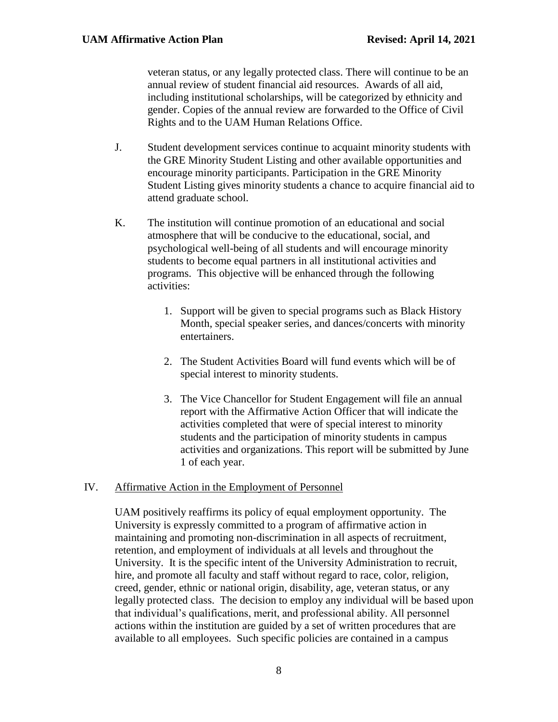veteran status, or any legally protected class. There will continue to be an annual review of student financial aid resources. Awards of all aid, including institutional scholarships, will be categorized by ethnicity and gender. Copies of the annual review are forwarded to the Office of Civil Rights and to the UAM Human Relations Office.

- J. Student development services continue to acquaint minority students with the GRE Minority Student Listing and other available opportunities and encourage minority participants. Participation in the GRE Minority Student Listing gives minority students a chance to acquire financial aid to attend graduate school.
- K. The institution will continue promotion of an educational and social atmosphere that will be conducive to the educational, social, and psychological well-being of all students and will encourage minority students to become equal partners in all institutional activities and programs. This objective will be enhanced through the following activities:
	- 1. Support will be given to special programs such as Black History Month, special speaker series, and dances/concerts with minority entertainers.
	- 2. The Student Activities Board will fund events which will be of special interest to minority students.
	- 3. The Vice Chancellor for Student Engagement will file an annual report with the Affirmative Action Officer that will indicate the activities completed that were of special interest to minority students and the participation of minority students in campus activities and organizations. This report will be submitted by June 1 of each year.

#### IV. Affirmative Action in the Employment of Personnel

UAM positively reaffirms its policy of equal employment opportunity. The University is expressly committed to a program of affirmative action in maintaining and promoting non-discrimination in all aspects of recruitment, retention, and employment of individuals at all levels and throughout the University. It is the specific intent of the University Administration to recruit, hire, and promote all faculty and staff without regard to race, color, religion, creed, gender, ethnic or national origin, disability, age, veteran status, or any legally protected class. The decision to employ any individual will be based upon that individual's qualifications, merit, and professional ability. All personnel actions within the institution are guided by a set of written procedures that are available to all employees. Such specific policies are contained in a campus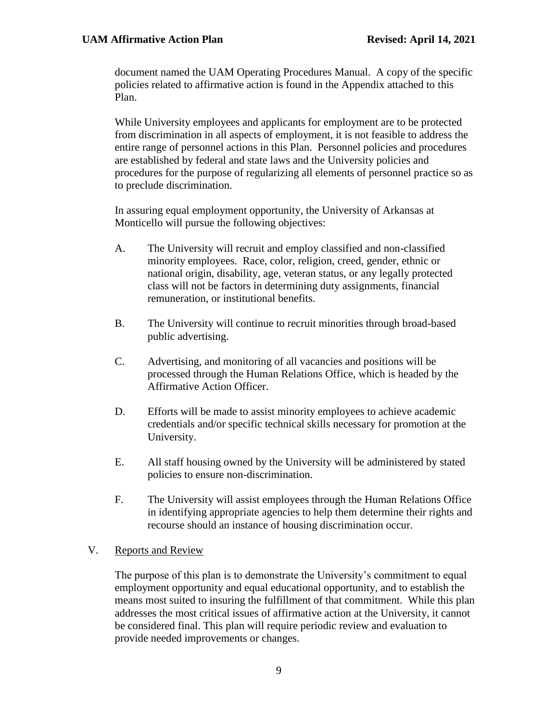document named the UAM Operating Procedures Manual. A copy of the specific policies related to affirmative action is found in the Appendix attached to this Plan.

While University employees and applicants for employment are to be protected from discrimination in all aspects of employment, it is not feasible to address the entire range of personnel actions in this Plan. Personnel policies and procedures are established by federal and state laws and the University policies and procedures for the purpose of regularizing all elements of personnel practice so as to preclude discrimination.

In assuring equal employment opportunity, the University of Arkansas at Monticello will pursue the following objectives:

- A. The University will recruit and employ classified and non-classified minority employees. Race, color, religion, creed, gender, ethnic or national origin, disability, age, veteran status, or any legally protected class will not be factors in determining duty assignments, financial remuneration, or institutional benefits.
- B. The University will continue to recruit minorities through broad-based public advertising.
- C. Advertising, and monitoring of all vacancies and positions will be processed through the Human Relations Office, which is headed by the Affirmative Action Officer.
- D. Efforts will be made to assist minority employees to achieve academic credentials and/or specific technical skills necessary for promotion at the University.
- E. All staff housing owned by the University will be administered by stated policies to ensure non-discrimination.
- F. The University will assist employees through the Human Relations Office in identifying appropriate agencies to help them determine their rights and recourse should an instance of housing discrimination occur.

#### V. Reports and Review

The purpose of this plan is to demonstrate the University's commitment to equal employment opportunity and equal educational opportunity, and to establish the means most suited to insuring the fulfillment of that commitment. While this plan addresses the most critical issues of affirmative action at the University, it cannot be considered final. This plan will require periodic review and evaluation to provide needed improvements or changes.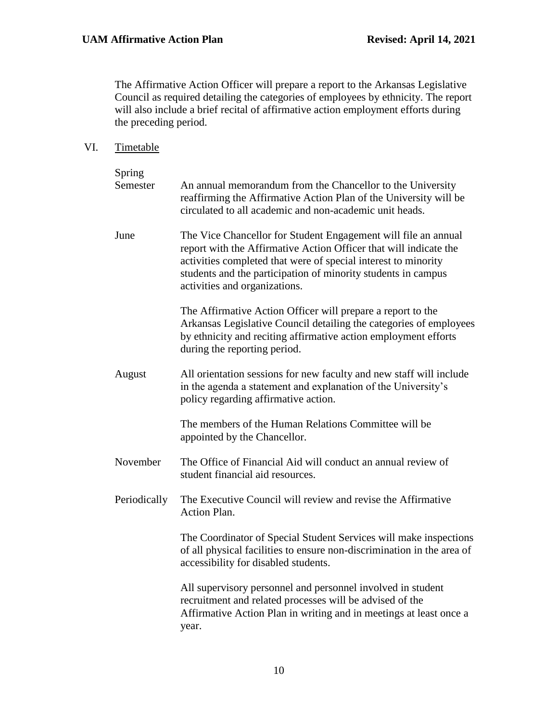The Affirmative Action Officer will prepare a report to the Arkansas Legislative Council as required detailing the categories of employees by ethnicity. The report will also include a brief recital of affirmative action employment efforts during the preceding period.

VI. Timetable

| Spring<br>Semester | An annual memorandum from the Chancellor to the University<br>reaffirming the Affirmative Action Plan of the University will be<br>circulated to all academic and non-academic unit heads.                                                                                                              |  |
|--------------------|---------------------------------------------------------------------------------------------------------------------------------------------------------------------------------------------------------------------------------------------------------------------------------------------------------|--|
| June               | The Vice Chancellor for Student Engagement will file an annual<br>report with the Affirmative Action Officer that will indicate the<br>activities completed that were of special interest to minority<br>students and the participation of minority students in campus<br>activities and organizations. |  |
|                    | The Affirmative Action Officer will prepare a report to the<br>Arkansas Legislative Council detailing the categories of employees<br>by ethnicity and reciting affirmative action employment efforts<br>during the reporting period.                                                                    |  |
| August             | All orientation sessions for new faculty and new staff will include<br>in the agenda a statement and explanation of the University's<br>policy regarding affirmative action.                                                                                                                            |  |
|                    | The members of the Human Relations Committee will be<br>appointed by the Chancellor.                                                                                                                                                                                                                    |  |
| November           | The Office of Financial Aid will conduct an annual review of<br>student financial aid resources.                                                                                                                                                                                                        |  |
| Periodically       | The Executive Council will review and revise the Affirmative<br><b>Action Plan.</b>                                                                                                                                                                                                                     |  |
|                    | The Coordinator of Special Student Services will make inspections<br>of all physical facilities to ensure non-discrimination in the area of<br>accessibility for disabled students.                                                                                                                     |  |
|                    | All supervisory personnel and personnel involved in student<br>recruitment and related processes will be advised of the<br>Affirmative Action Plan in writing and in meetings at least once a<br>year.                                                                                                  |  |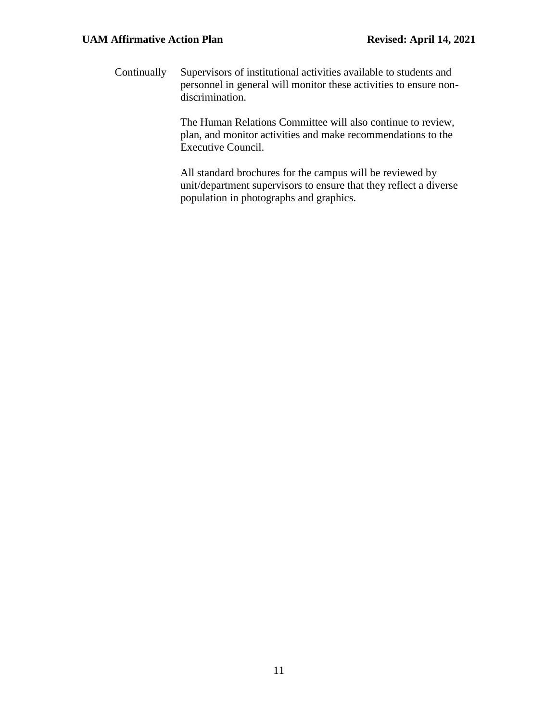Continually Supervisors of institutional activities available to students and personnel in general will monitor these activities to ensure nondiscrimination.

> The Human Relations Committee will also continue to review, plan, and monitor activities and make recommendations to the Executive Council.

All standard brochures for the campus will be reviewed by unit/department supervisors to ensure that they reflect a diverse population in photographs and graphics.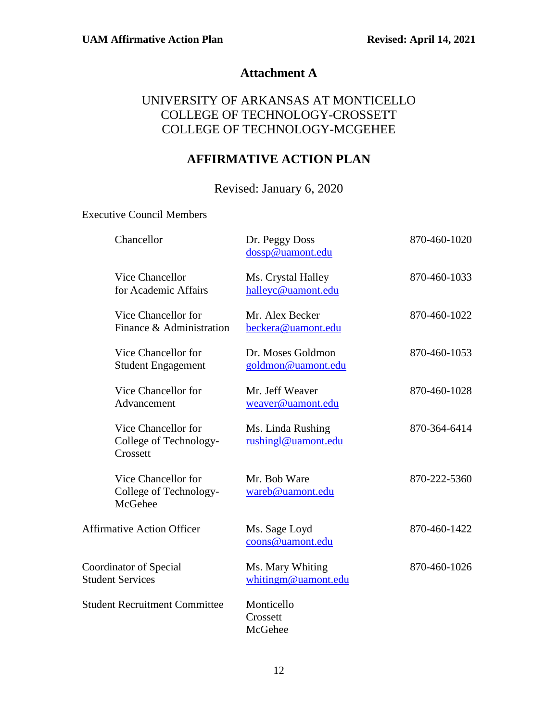## **Attachment A**

## UNIVERSITY OF ARKANSAS AT MONTICELLO COLLEGE OF TECHNOLOGY-CROSSETT COLLEGE OF TECHNOLOGY-MCGEHEE

# **AFFIRMATIVE ACTION PLAN**

Revised: January 6, 2020

Executive Council Members

| Chancellor                                                | Dr. Peggy Doss<br>dossp@uamont.edu       | 870-460-1020 |
|-----------------------------------------------------------|------------------------------------------|--------------|
| <b>Vice Chancellor</b><br>for Academic Affairs            | Ms. Crystal Halley<br>halleyc@uamont.edu | 870-460-1033 |
| Vice Chancellor for<br>Finance & Administration           | Mr. Alex Becker<br>beckera@uamont.edu    | 870-460-1022 |
| Vice Chancellor for<br><b>Student Engagement</b>          | Dr. Moses Goldmon<br>goldmon@uamont.edu  | 870-460-1053 |
| Vice Chancellor for<br>Advancement                        | Mr. Jeff Weaver<br>weaver@uamont.edu     | 870-460-1028 |
| Vice Chancellor for<br>College of Technology-<br>Crossett | Ms. Linda Rushing<br>rushingl@uamont.edu | 870-364-6414 |
| Vice Chancellor for<br>College of Technology-<br>McGehee  | Mr. Bob Ware<br>wareb@uamont.edu         | 870-222-5360 |
| <b>Affirmative Action Officer</b>                         | Ms. Sage Loyd<br>coons@uamont.edu        | 870-460-1422 |
| Coordinator of Special<br><b>Student Services</b>         | Ms. Mary Whiting<br>whitingm@uamont.edu  | 870-460-1026 |
| <b>Student Recruitment Committee</b>                      | Monticello<br>Crossett<br>McGehee        |              |